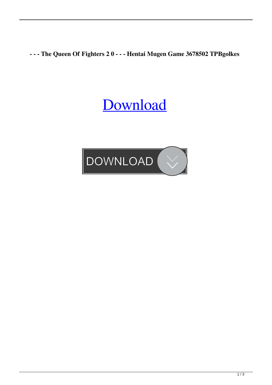**- - - The Queen Of Fighters 2 0 - - - Hentai Mugen Game 3678502 TPBgolkes**

## [Download](http://evacdir.com/calibrated?invertebrates=clot.LSAtIC0gVGhlIFF1ZWVuIE9mIEZpZ2h0ZXJzIDIgMCAtIC0gLSBIZW50YWkgTXVnZW4gR2FtZSAzNjc4NTAyIFRQQmdvbGtlcwLSA.inflames&prejudices=biomanufacturing&schneider=ZG93bmxvYWR8M0pZTVc1eU1YeDhNVFkxTWpjME1EZzJObng4TWpVM05IeDhLRTBwSUhKbFlXUXRZbXh2WnlCYlJtRnpkQ0JIUlU1ZA)

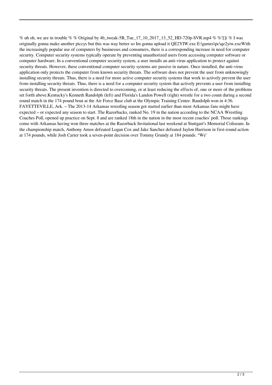% uh oh, we are in trouble % % Original by 4b\_tweak-5B\_Tue\_17\_10\_2017\_13\_52\_HD-720p-SVR.mp4 % %![]( % I was originally gonna make another piccys but this was way better so Im gonna upload it QE2YIW.exe E:\games\pc\qe2yiw.exeWith the increasingly popular use of computers by businesses and consumers, there is a corresponding increase in need for computer security. Computer security systems typically operate by preventing unauthorized users from accessing computer software or computer hardware. In a conventional computer security system, a user installs an anti-virus application to protect against security threats. However, these conventional computer security systems are passive in nature. Once installed, the anti-virus application only protects the computer from known security threats. The software does not prevent the user from unknowingly installing security threats. Thus, there is a need for more active computer security systems that work to actively prevent the user from installing security threats. Thus, there is a need for a computer security system that actively prevents a user from installing security threats. The present invention is directed to overcoming, or at least reducing the effects of, one or more of the problems set forth above.Kentucky's Kenneth Randolph (left) and Florida's Landon Powell (right) wrestle for a two count during a second round match in the 174 pound bout at the Air Force Base club at the Olympic Training Center. Randolph won in 4:36. FAYETTEVILLE, Ark. – The 2013-14 Arkansas wrestling season got started earlier than most Arkansas fans might have expected – or expected any season to start. The Razorbacks, ranked No. 19 in the nation according to the NCAA Wrestling Coaches Poll, opened up practice on Sept. 8 and are ranked 18th in the nation in the most recent coaches' poll. Those rankings come with Arkansas having won three matches at the Razorback Invitational last weekend at Stuttgart's Memorial Coliseum. In the championship match, Anthony Amos defeated Logan Cox and Jake Sanchez defeated Jaylon Harrison in first-round action at 174 pounds, while Josh Carter took a seven-point decision over Tommy Grundy at 184 pounds. "We'